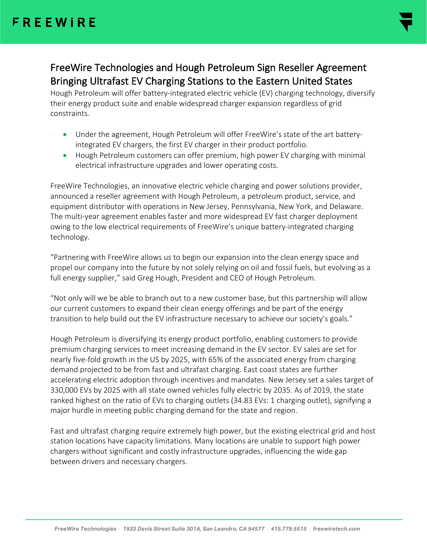

FreeWire Technologies and Hough PetroleumSign Reseller Agreement Bringing Ultrafast EV Charging Stations to the Eastern United States

Hough Petroleum will offer battery-integrated electric vehicle (EV) charging technology, diversify their energy product suite and enable widespread charger expansion regardless of grid constraints.

- Under the agreement, Hough Petroleumwill offer FreeWire's state of the art batteryintegrated EV chargers, the first EV charger in their product portfolio.
- Hough Petroleum customers can offer premium, high power EV charging with minimal electrical infrastructure upgrades and lower operating costs.

FreeWire Technologies, an innovative electric vehicle charging and power solutions provider, announced a reseller agreement with Hough Petroleum, a petroleum product, service, and equipment distributor with operations in New Jersey, Pennsylvania, New York, and Delaware. The multi-year agreement enables faster and more widespread EV fast charger deployment owing to the low electrical requirements of FreeWire's unique battery-integrated charging technology.

"Partnering with FreeWire allows us to begin our expansion into the clean energy space and propel our company into the future by not solely relying on oil and fossil fuels, but evolving as a full energy supplier," said Greg Hough, President and CEO of Hough Petroleum.

"Not only will we be able to branch out to a new customer base, but this partnership will allow our current customers to expand their clean energy offerings and be part of the energy transition to help build out the EV infrastructure necessary to achieve our society's goals."

Hough Petroleum is diversifying its energy product portfolio, enabling customers to provide premium charging services to meet increasing demand in the EV sector.EV sales are set for nearly five-fold growth in the US by 2025, with 65% of the associated energy from charging demand projected to be from fast and ultrafast charging. East coast states are further accelerating electric adoption through incentives and mandates. New Jersey set a sales target of 330,000 EVs by 2025 with all state owned vehicles fully electric by 2035. As of 2019, the state ranked highest on the ratio of EVs to charging outlets (34.83 EVs: 1 charging outlet), signifying a major hurdle in meeting public charging demand for the state and region.

Fast and ultrafast charging require extremely high power, but the existing electrical grid and host station locations have capacity limitations. Many locations are unable to support high power chargers without significant and costly infrastructure upgrades, influencing the wide gap between drivers and necessary chargers.